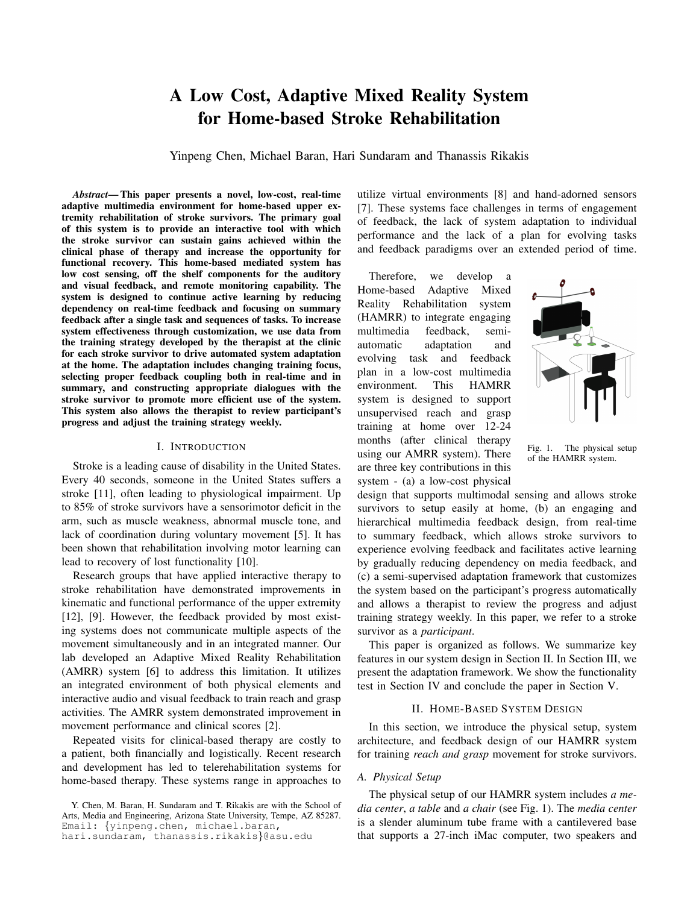# A Low Cost, Adaptive Mixed Reality System for Home-based Stroke Rehabilitation

Yinpeng Chen, Michael Baran, Hari Sundaram and Thanassis Rikakis

*Abstract*— This paper presents a novel, low-cost, real-time adaptive multimedia environment for home-based upper extremity rehabilitation of stroke survivors. The primary goal of this system is to provide an interactive tool with which the stroke survivor can sustain gains achieved within the clinical phase of therapy and increase the opportunity for functional recovery. This home-based mediated system has low cost sensing, off the shelf components for the auditory and visual feedback, and remote monitoring capability. The system is designed to continue active learning by reducing dependency on real-time feedback and focusing on summary feedback after a single task and sequences of tasks. To increase system effectiveness through customization, we use data from the training strategy developed by the therapist at the clinic for each stroke survivor to drive automated system adaptation at the home. The adaptation includes changing training focus, selecting proper feedback coupling both in real-time and in summary, and constructing appropriate dialogues with the stroke survivor to promote more efficient use of the system. This system also allows the therapist to review participant's progress and adjust the training strategy weekly.

## I. INTRODUCTION

Stroke is a leading cause of disability in the United States. Every 40 seconds, someone in the United States suffers a stroke [11], often leading to physiological impairment. Up to 85% of stroke survivors have a sensorimotor deficit in the arm, such as muscle weakness, abnormal muscle tone, and lack of coordination during voluntary movement [5]. It has been shown that rehabilitation involving motor learning can lead to recovery of lost functionality [10].

Research groups that have applied interactive therapy to stroke rehabilitation have demonstrated improvements in kinematic and functional performance of the upper extremity [12], [9]. However, the feedback provided by most existing systems does not communicate multiple aspects of the movement simultaneously and in an integrated manner. Our lab developed an Adaptive Mixed Reality Rehabilitation (AMRR) system [6] to address this limitation. It utilizes an integrated environment of both physical elements and interactive audio and visual feedback to train reach and grasp activities. The AMRR system demonstrated improvement in movement performance and clinical scores [2].

Repeated visits for clinical-based therapy are costly to a patient, both financially and logistically. Recent research and development has led to telerehabilitation systems for home-based therapy. These systems range in approaches to utilize virtual environments [8] and hand-adorned sensors [7]. These systems face challenges in terms of engagement of feedback, the lack of system adaptation to individual performance and the lack of a plan for evolving tasks and feedback paradigms over an extended period of time.

Therefore, we develop a Home-based Adaptive Mixed Reality Rehabilitation system (HAMRR) to integrate engaging multimedia feedback, semiautomatic adaptation and evolving task and feedback plan in a low-cost multimedia environment. This HAMRR system is designed to support unsupervised reach and grasp training at home over 12-24 months (after clinical therapy using our AMRR system). There are three key contributions in this system - (a) a low-cost physical



Fig. 1. The physical setup of the HAMRR system.

design that supports multimodal sensing and allows stroke survivors to setup easily at home, (b) an engaging and hierarchical multimedia feedback design, from real-time to summary feedback, which allows stroke survivors to experience evolving feedback and facilitates active learning by gradually reducing dependency on media feedback, and (c) a semi-supervised adaptation framework that customizes the system based on the participant's progress automatically and allows a therapist to review the progress and adjust training strategy weekly. In this paper, we refer to a stroke survivor as a *participant*.

This paper is organized as follows. We summarize key features in our system design in Section II. In Section III, we present the adaptation framework. We show the functionality test in Section IV and conclude the paper in Section V.

# II. HOME-BASED SYSTEM DESIGN

In this section, we introduce the physical setup, system architecture, and feedback design of our HAMRR system for training *reach and grasp* movement for stroke survivors.

## *A. Physical Setup*

The physical setup of our HAMRR system includes *a media center*, *a table* and *a chair* (see Fig. 1). The *media center* is a slender aluminum tube frame with a cantilevered base that supports a 27-inch iMac computer, two speakers and

Y. Chen, M. Baran, H. Sundaram and T. Rikakis are with the School of Arts, Media and Engineering, Arizona State University, Tempe, AZ 85287. Email: {yinpeng.chen, michael.baran,

hari.sundaram, thanassis.rikakis}@asu.edu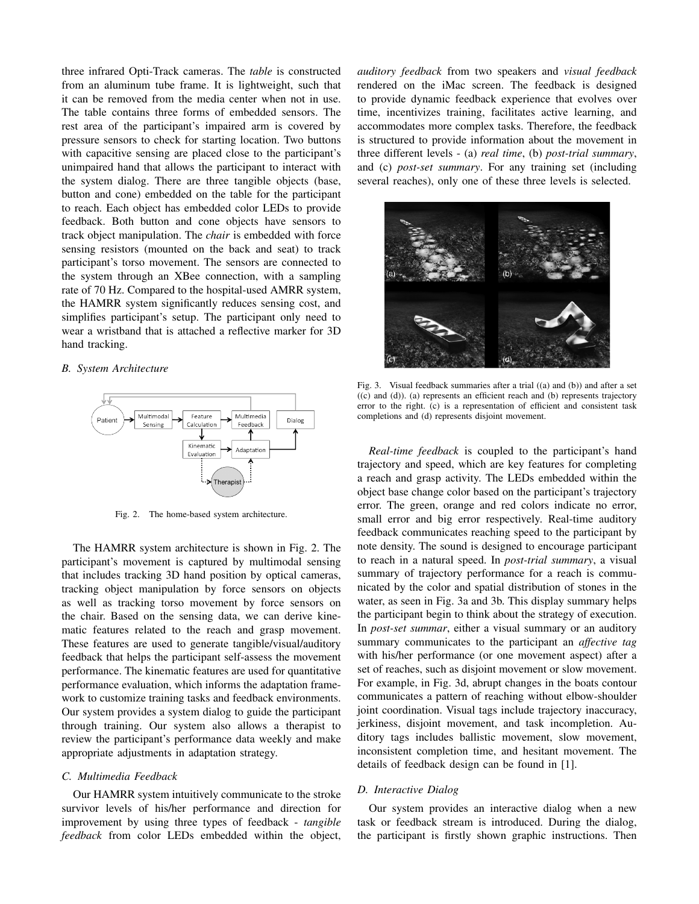three infrared Opti-Track cameras. The *table* is constructed from an aluminum tube frame. It is lightweight, such that it can be removed from the media center when not in use. The table contains three forms of embedded sensors. The rest area of the participant's impaired arm is covered by pressure sensors to check for starting location. Two buttons with capacitive sensing are placed close to the participant's unimpaired hand that allows the participant to interact with the system dialog. There are three tangible objects (base, button and cone) embedded on the table for the participant to reach. Each object has embedded color LEDs to provide feedback. Both button and cone objects have sensors to track object manipulation. The *chair* is embedded with force sensing resistors (mounted on the back and seat) to track participant's torso movement. The sensors are connected to the system through an XBee connection, with a sampling rate of 70 Hz. Compared to the hospital-used AMRR system, the HAMRR system significantly reduces sensing cost, and simplifies participant's setup. The participant only need to wear a wristband that is attached a reflective marker for 3D hand tracking.

## *B. System Architecture*



Fig. 2. The home-based system architecture.

The HAMRR system architecture is shown in Fig. 2. The participant's movement is captured by multimodal sensing that includes tracking 3D hand position by optical cameras, tracking object manipulation by force sensors on objects as well as tracking torso movement by force sensors on the chair. Based on the sensing data, we can derive kinematic features related to the reach and grasp movement. These features are used to generate tangible/visual/auditory feedback that helps the participant self-assess the movement performance. The kinematic features are used for quantitative performance evaluation, which informs the adaptation framework to customize training tasks and feedback environments. Our system provides a system dialog to guide the participant through training. Our system also allows a therapist to review the participant's performance data weekly and make appropriate adjustments in adaptation strategy.

#### *C. Multimedia Feedback*

Our HAMRR system intuitively communicate to the stroke survivor levels of his/her performance and direction for improvement by using three types of feedback - *tangible feedback* from color LEDs embedded within the object,

*auditory feedback* from two speakers and *visual feedback* rendered on the iMac screen. The feedback is designed to provide dynamic feedback experience that evolves over time, incentivizes training, facilitates active learning, and accommodates more complex tasks. Therefore, the feedback is structured to provide information about the movement in three different levels - (a) *real time*, (b) *post-trial summary*, and (c) *post-set summary*. For any training set (including several reaches), only one of these three levels is selected.



Fig. 3. Visual feedback summaries after a trial ((a) and (b)) and after a set  $((c)$  and  $(d))$ . (a) represents an efficient reach and (b) represents trajectory error to the right. (c) is a representation of efficient and consistent task completions and (d) represents disjoint movement.

*Real-time feedback* is coupled to the participant's hand trajectory and speed, which are key features for completing a reach and grasp activity. The LEDs embedded within the object base change color based on the participant's trajectory error. The green, orange and red colors indicate no error, small error and big error respectively. Real-time auditory feedback communicates reaching speed to the participant by note density. The sound is designed to encourage participant to reach in a natural speed. In *post-trial summary*, a visual summary of trajectory performance for a reach is communicated by the color and spatial distribution of stones in the water, as seen in Fig. 3a and 3b. This display summary helps the participant begin to think about the strategy of execution. In *post-set summar*, either a visual summary or an auditory summary communicates to the participant an *affective tag* with his/her performance (or one movement aspect) after a set of reaches, such as disjoint movement or slow movement. For example, in Fig. 3d, abrupt changes in the boats contour communicates a pattern of reaching without elbow-shoulder joint coordination. Visual tags include trajectory inaccuracy, jerkiness, disjoint movement, and task incompletion. Auditory tags includes ballistic movement, slow movement, inconsistent completion time, and hesitant movement. The details of feedback design can be found in [1].

# *D. Interactive Dialog*

Our system provides an interactive dialog when a new task or feedback stream is introduced. During the dialog, the participant is firstly shown graphic instructions. Then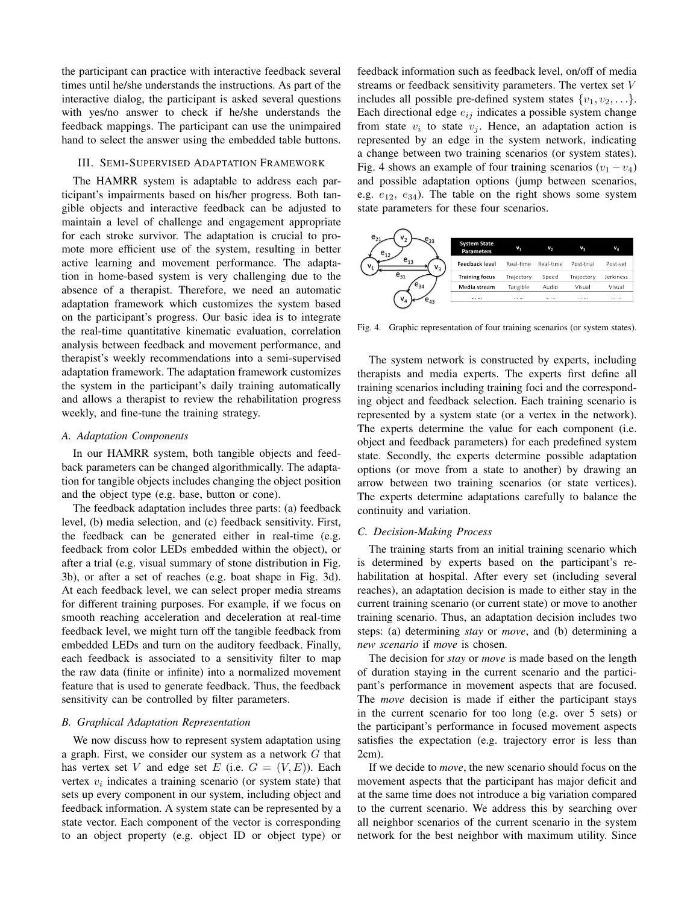the participant can practice with interactive feedback several times until he/she understands the instructions. As part of the interactive dialog, the participant is asked several questions with yes/no answer to check if he/she understands the feedback mappings. The participant can use the unimpaired hand to select the answer using the embedded table buttons.

## III. SEMI-SUPERVISED ADAPTATION FRAMEWORK

The HAMRR system is adaptable to address each participant's impairments based on his/her progress. Both tangible objects and interactive feedback can be adjusted to maintain a level of challenge and engagement appropriate for each stroke survivor. The adaptation is crucial to promote more efficient use of the system, resulting in better active learning and movement performance. The adaptation in home-based system is very challenging due to the absence of a therapist. Therefore, we need an automatic adaptation framework which customizes the system based on the participant's progress. Our basic idea is to integrate the real-time quantitative kinematic evaluation, correlation analysis between feedback and movement performance, and therapist's weekly recommendations into a semi-supervised adaptation framework. The adaptation framework customizes the system in the participant's daily training automatically and allows a therapist to review the rehabilitation progress weekly, and fine-tune the training strategy.

#### *A. Adaptation Components*

In our HAMRR system, both tangible objects and feedback parameters can be changed algorithmically. The adaptation for tangible objects includes changing the object position and the object type (e.g. base, button or cone).

The feedback adaptation includes three parts: (a) feedback level, (b) media selection, and (c) feedback sensitivity. First, the feedback can be generated either in real-time (e.g. feedback from color LEDs embedded within the object), or after a trial (e.g. visual summary of stone distribution in Fig. 3b), or after a set of reaches (e.g. boat shape in Fig. 3d). At each feedback level, we can select proper media streams for different training purposes. For example, if we focus on smooth reaching acceleration and deceleration at real-time feedback level, we might turn off the tangible feedback from embedded LEDs and turn on the auditory feedback. Finally, each feedback is associated to a sensitivity filter to map the raw data (finite or infinite) into a normalized movement feature that is used to generate feedback. Thus, the feedback sensitivity can be controlled by filter parameters.

#### *B. Graphical Adaptation Representation*

We now discuss how to represent system adaptation using a graph. First, we consider our system as a network  $G$  that has vertex set V and edge set E (i.e.  $G = (V, E)$ ). Each vertex  $v_i$  indicates a training scenario (or system state) that sets up every component in our system, including object and feedback information. A system state can be represented by a state vector. Each component of the vector is corresponding to an object property (e.g. object ID or object type) or

feedback information such as feedback level, on/off of media streams or feedback sensitivity parameters. The vertex set V includes all possible pre-defined system states  $\{v_1, v_2, \ldots\}$ . Each directional edge  $e_{ij}$  indicates a possible system change from state  $v_i$  to state  $v_j$ . Hence, an adaptation action is represented by an edge in the system network, indicating a change between two training scenarios (or system states). Fig. 4 shows an example of four training scenarios  $(v_1 - v_4)$ and possible adaptation options (jump between scenarios, e.g.  $e_{12}$ ,  $e_{34}$ ). The table on the right shows some system state parameters for these four scenarios.



Fig. 4. Graphic representation of four training scenarios (or system states).

The system network is constructed by experts, including therapists and media experts. The experts first define all training scenarios including training foci and the corresponding object and feedback selection. Each training scenario is represented by a system state (or a vertex in the network). The experts determine the value for each component (i.e. object and feedback parameters) for each predefined system state. Secondly, the experts determine possible adaptation options (or move from a state to another) by drawing an arrow between two training scenarios (or state vertices). The experts determine adaptations carefully to balance the continuity and variation.

## *C. Decision-Making Process*

The training starts from an initial training scenario which is determined by experts based on the participant's rehabilitation at hospital. After every set (including several reaches), an adaptation decision is made to either stay in the current training scenario (or current state) or move to another training scenario. Thus, an adaptation decision includes two steps: (a) determining *stay* or *move*, and (b) determining a *new scenario* if *move* is chosen.

The decision for *stay* or *move* is made based on the length of duration staying in the current scenario and the participant's performance in movement aspects that are focused. The *move* decision is made if either the participant stays in the current scenario for too long (e.g. over 5 sets) or the participant's performance in focused movement aspects satisfies the expectation (e.g. trajectory error is less than 2cm).

If we decide to *move*, the new scenario should focus on the movement aspects that the participant has major deficit and at the same time does not introduce a big variation compared to the current scenario. We address this by searching over all neighbor scenarios of the current scenario in the system network for the best neighbor with maximum utility. Since